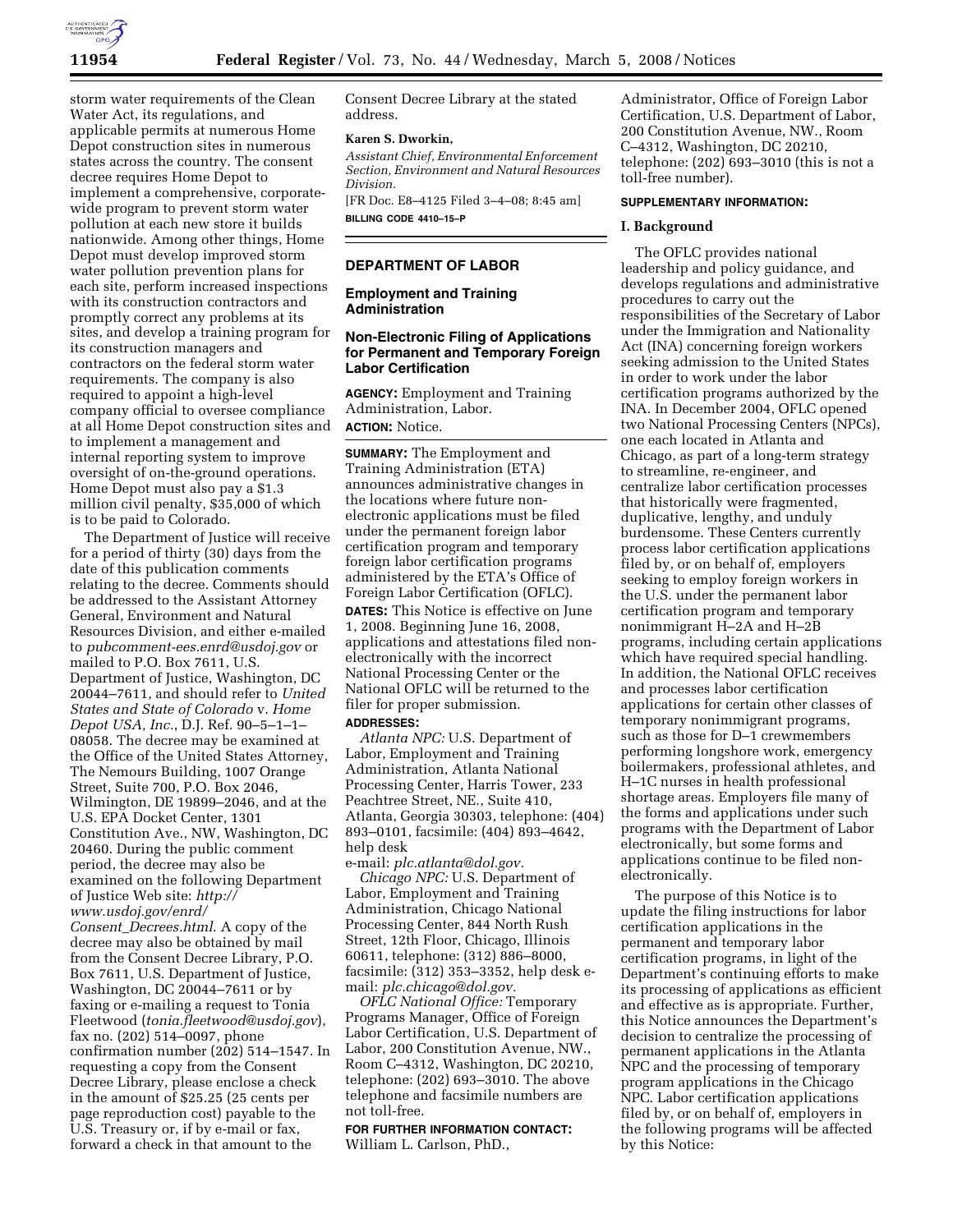

storm water requirements of the Clean Water Act, its regulations, and applicable permits at numerous Home Depot construction sites in numerous states across the country. The consent decree requires Home Depot to implement a comprehensive, corporatewide program to prevent storm water pollution at each new store it builds nationwide. Among other things, Home Depot must develop improved storm water pollution prevention plans for each site, perform increased inspections with its construction contractors and promptly correct any problems at its sites, and develop a training program for its construction managers and contractors on the federal storm water requirements. The company is also required to appoint a high-level company official to oversee compliance at all Home Depot construction sites and to implement a management and internal reporting system to improve oversight of on-the-ground operations. Home Depot must also pay a \$1.3 million civil penalty, \$35,000 of which is to be paid to Colorado.

The Department of Justice will receive for a period of thirty (30) days from the date of this publication comments relating to the decree. Comments should be addressed to the Assistant Attorney General, Environment and Natural Resources Division, and either e-mailed to *pubcomment-ees.enrd@usdoj.gov* or mailed to P.O. Box 7611, U.S. Department of Justice, Washington, DC 20044–7611, and should refer to *United States and State of Colorado* v. *Home Depot USA, Inc.*, D.J. Ref. 90–5–1–1– 08058. The decree may be examined at the Office of the United States Attorney, The Nemours Building, 1007 Orange Street, Suite 700, P.O. Box 2046, Wilmington, DE 19899–2046, and at the U.S. EPA Docket Center, 1301 Constitution Ave., NW, Washington, DC 20460. During the public comment period, the decree may also be examined on the following Department of Justice Web site: *http:// www.usdoj.gov/enrd/ Consent*\_*Decrees.html*. A copy of the decree may also be obtained by mail from the Consent Decree Library, P.O. Box 7611, U.S. Department of Justice, Washington, DC 20044–7611 or by faxing or e-mailing a request to Tonia Fleetwood (*tonia.fleetwood@usdoj.gov*), fax no. (202) 514–0097, phone confirmation number  $(202)$  514–1547. In requesting a copy from the Consent Decree Library, please enclose a check in the amount of \$25.25 (25 cents per page reproduction cost) payable to the

U.S. Treasury or, if by e-mail or fax, forward a check in that amount to the Consent Decree Library at the stated address.

#### **Karen S. Dworkin,**

*Assistant Chief, Environmental Enforcement Section, Environment and Natural Resources Division.* 

[FR Doc. E8–4125 Filed 3–4–08; 8:45 am] **BILLING CODE 4410–15–P** 

# **DEPARTMENT OF LABOR**

**Employment and Training Administration** 

# **Non-Electronic Filing of Applications for Permanent and Temporary Foreign Labor Certification**

**AGENCY:** Employment and Training Administration, Labor.

# **ACTION:** Notice.

**SUMMARY:** The Employment and Training Administration (ETA) announces administrative changes in the locations where future nonelectronic applications must be filed under the permanent foreign labor certification program and temporary foreign labor certification programs administered by the ETA's Office of Foreign Labor Certification (OFLC).

**DATES:** This Notice is effective on June 1, 2008. Beginning June 16, 2008, applications and attestations filed nonelectronically with the incorrect National Processing Center or the National OFLC will be returned to the filer for proper submission.

### **ADDRESSES:**

*Atlanta NPC:* U.S. Department of Labor, Employment and Training Administration, Atlanta National Processing Center, Harris Tower, 233 Peachtree Street, NE., Suite 410, Atlanta, Georgia 30303, telephone: (404) 893–0101, facsimile: (404) 893–4642, help desk

e-mail: *plc.atlanta@dol.gov.* 

*Chicago NPC:* U.S. Department of Labor, Employment and Training Administration, Chicago National Processing Center, 844 North Rush Street, 12th Floor, Chicago, Illinois 60611, telephone: (312) 886–8000, facsimile: (312) 353–3352, help desk email: *plc.chicago@dol.gov.* 

*OFLC National Office:* Temporary Programs Manager, Office of Foreign Labor Certification, U.S. Department of Labor, 200 Constitution Avenue, NW., Room C–4312, Washington, DC 20210, telephone: (202) 693–3010. The above telephone and facsimile numbers are not toll-free.

**FOR FURTHER INFORMATION CONTACT:**  William L. Carlson, PhD.,

Administrator, Office of Foreign Labor Certification, U.S. Department of Labor, 200 Constitution Avenue, NW., Room C–4312, Washington, DC 20210, telephone: (202) 693–3010 (this is not a toll-free number).

# **SUPPLEMENTARY INFORMATION:**

#### **I. Background**

The OFLC provides national leadership and policy guidance, and develops regulations and administrative procedures to carry out the responsibilities of the Secretary of Labor under the Immigration and Nationality Act (INA) concerning foreign workers seeking admission to the United States in order to work under the labor certification programs authorized by the INA. In December 2004, OFLC opened two National Processing Centers (NPCs), one each located in Atlanta and Chicago, as part of a long-term strategy to streamline, re-engineer, and centralize labor certification processes that historically were fragmented, duplicative, lengthy, and unduly burdensome. These Centers currently process labor certification applications filed by, or on behalf of, employers seeking to employ foreign workers in the U.S. under the permanent labor certification program and temporary nonimmigrant H–2A and H–2B programs, including certain applications which have required special handling. In addition, the National OFLC receives and processes labor certification applications for certain other classes of temporary nonimmigrant programs, such as those for D–1 crewmembers performing longshore work, emergency boilermakers, professional athletes, and H–1C nurses in health professional shortage areas. Employers file many of the forms and applications under such programs with the Department of Labor electronically, but some forms and applications continue to be filed nonelectronically.

The purpose of this Notice is to update the filing instructions for labor certification applications in the permanent and temporary labor certification programs, in light of the Department's continuing efforts to make its processing of applications as efficient and effective as is appropriate. Further, this Notice announces the Department's decision to centralize the processing of permanent applications in the Atlanta NPC and the processing of temporary program applications in the Chicago NPC. Labor certification applications filed by, or on behalf of, employers in the following programs will be affected by this Notice: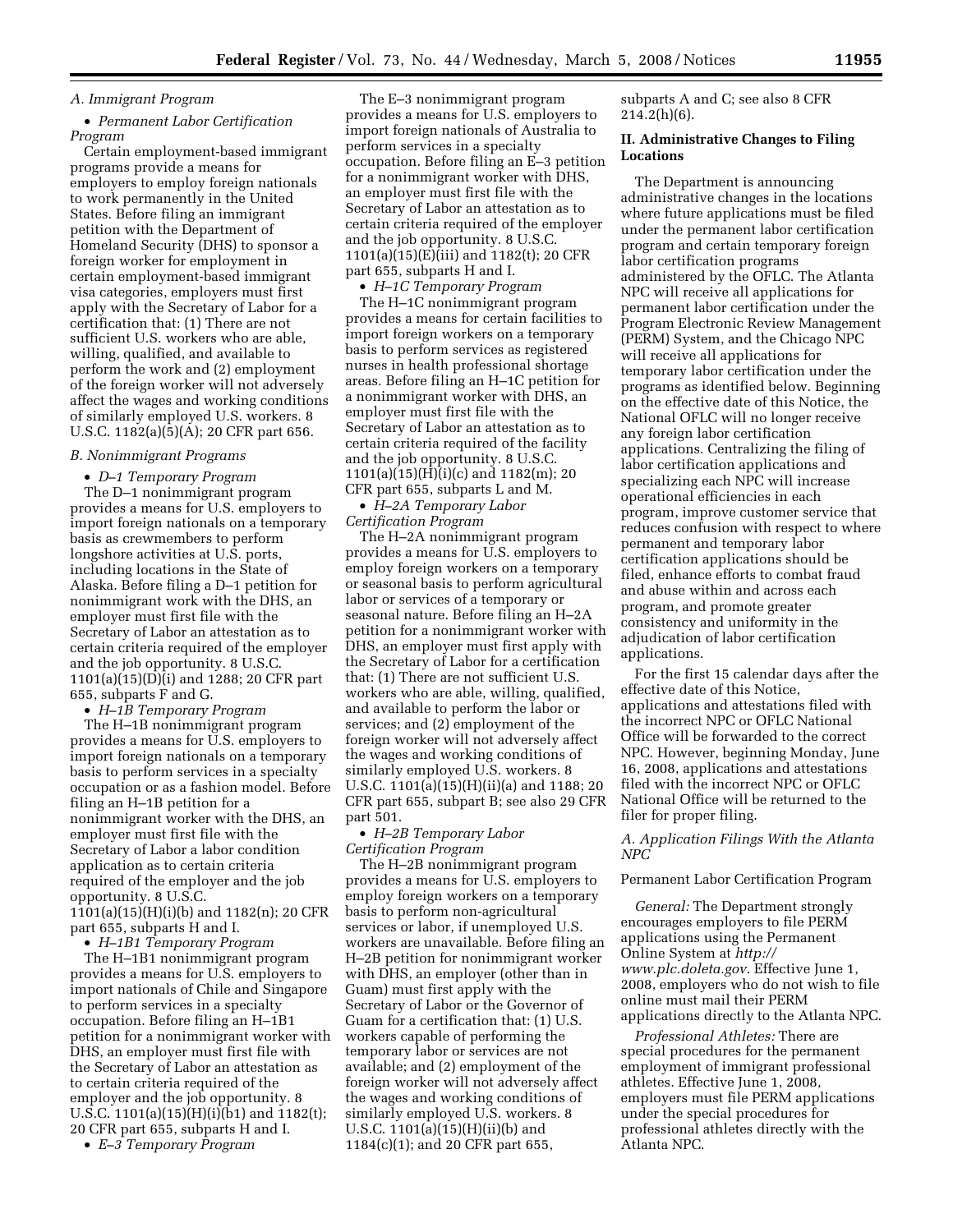# *A. Immigrant Program*

### • *Permanent Labor Certification Program*

Certain employment-based immigrant programs provide a means for employers to employ foreign nationals to work permanently in the United States. Before filing an immigrant petition with the Department of Homeland Security (DHS) to sponsor a foreign worker for employment in certain employment-based immigrant visa categories, employers must first apply with the Secretary of Labor for a certification that: (1) There are not sufficient U.S. workers who are able, willing, qualified, and available to perform the work and (2) employment of the foreign worker will not adversely affect the wages and working conditions of similarly employed U.S. workers. 8 U.S.C. 1182(a)(5)(A); 20 CFR part 656.

### *B. Nonimmigrant Programs*

• *D–1 Temporary Program*  The D–1 nonimmigrant program provides a means for U.S. employers to import foreign nationals on a temporary basis as crewmembers to perform longshore activities at U.S. ports, including locations in the State of Alaska. Before filing a D–1 petition for nonimmigrant work with the DHS, an employer must first file with the Secretary of Labor an attestation as to certain criteria required of the employer and the job opportunity. 8 U.S.C. 1101(a)(15)(D)(i) and 1288; 20 CFR part 655, subparts F and G.

• *H–1B Temporary Program* 

The H–1B nonimmigrant program provides a means for U.S. employers to import foreign nationals on a temporary basis to perform services in a specialty occupation or as a fashion model. Before filing an H–1B petition for a nonimmigrant worker with the DHS, an employer must first file with the Secretary of Labor a labor condition application as to certain criteria required of the employer and the job opportunity. 8 U.S.C. 1101(a)(15)(H)(i)(b) and 1182(n); 20 CFR part 655, subparts H and I.

• *H–1B1 Temporary Program* 

The H–1B1 nonimmigrant program provides a means for U.S. employers to import nationals of Chile and Singapore to perform services in a specialty occupation. Before filing an H–1B1 petition for a nonimmigrant worker with DHS, an employer must first file with the Secretary of Labor an attestation as to certain criteria required of the employer and the job opportunity. 8 U.S.C. 1101(a)(15)(H)(i)(b1) and 1182(t); 20 CFR part 655, subparts H and I.

• *E–3 Temporary Program* 

The E–3 nonimmigrant program provides a means for U.S. employers to import foreign nationals of Australia to perform services in a specialty occupation. Before filing an E–3 petition for a nonimmigrant worker with DHS, an employer must first file with the Secretary of Labor an attestation as to certain criteria required of the employer and the job opportunity. 8 U.S.C. 1101(a)(15)(E)(iii) and 1182(t); 20 CFR part 655, subparts H and I.

• *H–1C Temporary Program* 

The H–1C nonimmigrant program provides a means for certain facilities to import foreign workers on a temporary basis to perform services as registered nurses in health professional shortage areas. Before filing an H–1C petition for a nonimmigrant worker with DHS, an employer must first file with the Secretary of Labor an attestation as to certain criteria required of the facility and the job opportunity. 8 U.S.C. 1101(a)(15)(H)(i)(c) and 1182(m); 20 CFR part 655, subparts L and M.

• *H–2A Temporary Labor Certification Program* 

The H–2A nonimmigrant program provides a means for U.S. employers to employ foreign workers on a temporary or seasonal basis to perform agricultural labor or services of a temporary or seasonal nature. Before filing an H–2A petition for a nonimmigrant worker with DHS, an employer must first apply with the Secretary of Labor for a certification that: (1) There are not sufficient U.S. workers who are able, willing, qualified, and available to perform the labor or services; and (2) employment of the foreign worker will not adversely affect the wages and working conditions of similarly employed U.S. workers. 8 U.S.C. 1101(a)(15)(H)(ii)(a) and 1188; 20 CFR part 655, subpart B; see also 29 CFR part 501.

• *H–2B Temporary Labor Certification Program* 

The H–2B nonimmigrant program provides a means for U.S. employers to employ foreign workers on a temporary basis to perform non-agricultural services or labor, if unemployed U.S. workers are unavailable. Before filing an H–2B petition for nonimmigrant worker with DHS, an employer (other than in Guam) must first apply with the Secretary of Labor or the Governor of Guam for a certification that: (1) U.S. workers capable of performing the temporary labor or services are not available; and (2) employment of the foreign worker will not adversely affect the wages and working conditions of similarly employed U.S. workers. 8 U.S.C. 1101(a)(15)(H)(ii)(b) and 1184(c)(1); and 20 CFR part 655,

subparts A and C; see also 8 CFR  $214.2(h)(6)$ .

### **II. Administrative Changes to Filing Locations**

The Department is announcing administrative changes in the locations where future applications must be filed under the permanent labor certification program and certain temporary foreign labor certification programs administered by the OFLC. The Atlanta NPC will receive all applications for permanent labor certification under the Program Electronic Review Management (PERM) System, and the Chicago NPC will receive all applications for temporary labor certification under the programs as identified below. Beginning on the effective date of this Notice, the National OFLC will no longer receive any foreign labor certification applications. Centralizing the filing of labor certification applications and specializing each NPC will increase operational efficiencies in each program, improve customer service that reduces confusion with respect to where permanent and temporary labor certification applications should be filed, enhance efforts to combat fraud and abuse within and across each program, and promote greater consistency and uniformity in the adjudication of labor certification applications.

For the first 15 calendar days after the effective date of this Notice, applications and attestations filed with the incorrect NPC or OFLC National Office will be forwarded to the correct NPC. However, beginning Monday, June 16, 2008, applications and attestations filed with the incorrect NPC or OFLC National Office will be returned to the filer for proper filing.

### *A. Application Filings With the Atlanta NPC*

# Permanent Labor Certification Program

*General:* The Department strongly encourages employers to file PERM applications using the Permanent Online System at *http:// www.plc.doleta.gov*. Effective June 1, 2008, employers who do not wish to file online must mail their PERM applications directly to the Atlanta NPC.

*Professional Athletes:* There are special procedures for the permanent employment of immigrant professional athletes. Effective June 1, 2008, employers must file PERM applications under the special procedures for professional athletes directly with the Atlanta NPC.